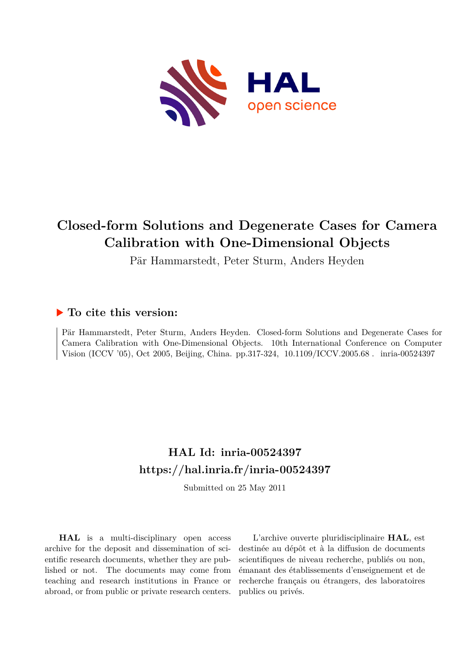

# **Closed-form Solutions and Degenerate Cases for Camera Calibration with One-Dimensional Objects**

Pär Hammarstedt, Peter Sturm, Anders Heyden

## **To cite this version:**

Pär Hammarstedt, Peter Sturm, Anders Heyden. Closed-form Solutions and Degenerate Cases for Camera Calibration with One-Dimensional Objects. 10th International Conference on Computer Vision (ICCV '05), Oct 2005, Beijing, China. pp.317-324, 10.1109/ICCV.2005.68. inria-00524397

# **HAL Id: inria-00524397 <https://hal.inria.fr/inria-00524397>**

Submitted on 25 May 2011

**HAL** is a multi-disciplinary open access archive for the deposit and dissemination of scientific research documents, whether they are published or not. The documents may come from teaching and research institutions in France or abroad, or from public or private research centers.

L'archive ouverte pluridisciplinaire **HAL**, est destinée au dépôt et à la diffusion de documents scientifiques de niveau recherche, publiés ou non, émanant des établissements d'enseignement et de recherche français ou étrangers, des laboratoires publics ou privés.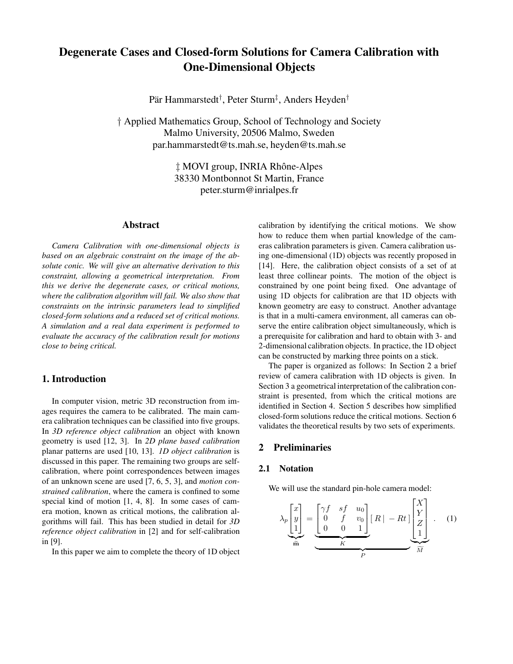## **Degenerate Cases and Closed-form Solutions for Camera Calibration with One-Dimensional Objects**

Pär Hammarstedt† , Peter Sturm‡ , Anders Heyden†

† Applied Mathematics Group, School of Technology and Society Malmo University, 20506 Malmo, Sweden par.hammarstedt@ts.mah.se, heyden@ts.mah.se

> ‡ MOVI group, INRIA Rhône-Alpes 38330 Montbonnot St Martin, France peter.sturm@inrialpes.fr

## **Abstract**

*Camera Calibration with one-dimensional objects is based on an algebraic constraint on the image of the absolute conic. We will give an alternative derivation to this constraint, allowing a geometrical interpretation. From this we derive the degenerate cases, or critical motions, where the calibration algorithm will fail. We also show that constraints on the intrinsic parameters lead to simplified closed-form solutions and a reduced set of critical motions. A simulation and a real data experiment is performed to evaluate the accuracy of the calibration result for motions close to being critical.*

## **1. Introduction**

In computer vision, metric 3D reconstruction from images requires the camera to be calibrated. The main camera calibration techniques can be classified into five groups. In *3D reference object calibration* an object with known geometry is used [12, 3]. In *2D plane based calibration* planar patterns are used [10, 13]. *1D object calibration* is discussed in this paper. The remaining two groups are selfcalibration, where point correspondences between images of an unknown scene are used [7, 6, 5, 3], and *motion constrained calibration*, where the camera is confined to some special kind of motion [1, 4, 8]. In some cases of camera motion, known as critical motions, the calibration algorithms will fail. This has been studied in detail for *3D reference object calibration* in [2] and for self-calibration in [9].

In this paper we aim to complete the theory of 1D object

calibration by identifying the critical motions. We show how to reduce them when partial knowledge of the cameras calibration parameters is given. Camera calibration using one-dimensional (1D) objects was recently proposed in [14]. Here, the calibration object consists of a set of at least three collinear points. The motion of the object is constrained by one point being fixed. One advantage of using 1D objects for calibration are that 1D objects with known geometry are easy to construct. Another advantage is that in a multi-camera environment, all cameras can observe the entire calibration object simultaneously, which is a prerequisite for calibration and hard to obtain with 3- and 2-dimensional calibration objects. In practice, the 1D object can be constructed by marking three points on a stick.

The paper is organized as follows: In Section 2 a brief review of camera calibration with 1D objects is given. In Section 3 a geometrical interpretation of the calibration constraint is presented, from which the critical motions are identified in Section 4. Section 5 describes how simplified closed-form solutions reduce the critical motions. Section 6 validates the theoretical results by two sets of experiments.

## **2 Preliminaries**

#### **2.1 Notation**

We will use the standard pin-hole camera model:

$$
\lambda_p \begin{bmatrix} x \\ y \\ 1 \end{bmatrix} = \underbrace{\begin{bmatrix} \gamma f & sf & u_0 \\ 0 & f & v_0 \\ 0 & 0 & 1 \end{bmatrix}}_{K} [R] - Rt] \underbrace{\begin{bmatrix} X \\ Y \\ Z \\ 1 \end{bmatrix}}_{\widetilde{M}}.
$$
 (1)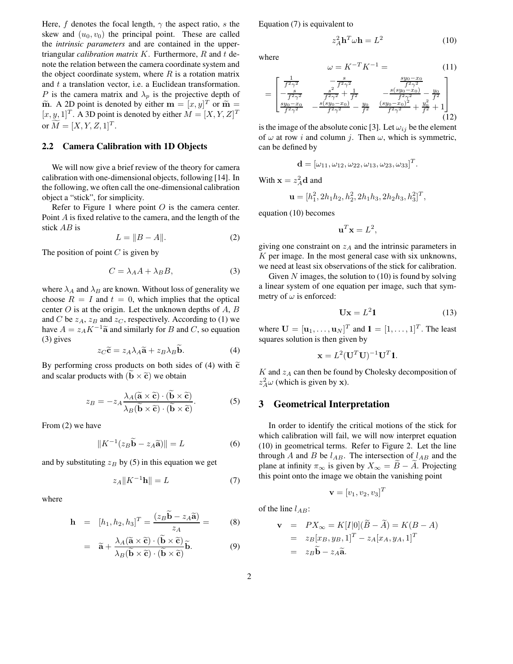Here, f denotes the focal length,  $\gamma$  the aspect ratio, s the skew and  $(u_0, v_0)$  the principal point. These are called the *intrinsic parameters* and are contained in the uppertriangular *calibration matrix* K. Furthermore, R and t denote the relation between the camera coordinate system and the object coordinate system, where  $R$  is a rotation matrix and  $t$  a translation vector, i.e. a Euclidean transformation. P is the camera matrix and  $\lambda_p$  is the projective depth of  $\widetilde{\mathbf{m}}$ . A 2D point is denoted by either  $\mathbf{m} = [x, y]^T$  or  $\widetilde{\mathbf{m}} =$  $[x, y, 1]^T$ . A 3D point is denoted by either  $M = [X, Y, Z]^T$ or  $\tilde{M} = [X, Y, Z, 1]^T$ .

#### **2.2 Camera Calibration with 1D Objects**

We will now give a brief review of the theory for camera calibration with one-dimensional objects, following [14]. In the following, we often call the one-dimensional calibration object a "stick", for simplicity.

Refer to Figure 1 where point  $O$  is the camera center. Point A is fixed relative to the camera, and the length of the stick AB is

$$
L = \|B - A\|.\tag{2}
$$

The position of point  $C$  is given by

$$
C = \lambda_A A + \lambda_B B,\tag{3}
$$

where  $\lambda_A$  and  $\lambda_B$  are known. Without loss of generality we choose  $R = I$  and  $t = 0$ , which implies that the optical center  $O$  is at the origin. Let the unknown depths of  $A, B$ and C be  $z_A$ ,  $z_B$  and  $z_C$ , respectively. According to (1) we have  $A = z_A K^{-1} \tilde{a}$  and similarly for B and C, so equation (3) gives

$$
z_C \tilde{\mathbf{c}} = z_A \lambda_A \tilde{\mathbf{a}} + z_B \lambda_B \tilde{\mathbf{b}}.
$$
 (4)

By performing cross products on both sides of (4) with  $\tilde{c}$ and scalar products with  $(b \times \tilde{c})$  we obtain

$$
z_B = -z_A \frac{\lambda_A (\widetilde{\mathbf{a}} \times \widetilde{\mathbf{c}}) \cdot (\widetilde{\mathbf{b}} \times \widetilde{\mathbf{c}})}{\lambda_B (\widetilde{\mathbf{b}} \times \widetilde{\mathbf{c}}) \cdot (\widetilde{\mathbf{b}} \times \widetilde{\mathbf{c}})}.
$$
(5)

From (2) we have

$$
||K^{-1}(z_B \widetilde{\mathbf{b}} - z_A \widetilde{\mathbf{a}})|| = L \tag{6}
$$

and by substituting  $z_B$  by (5) in this equation we get

$$
z_A \|K^{-1}\mathbf{h}\| = L \tag{7}
$$

where

$$
\mathbf{h} = [h_1, h_2, h_3]^T = \frac{(z_B \widetilde{\mathbf{b}} - z_A \widetilde{\mathbf{a}})}{z_A} = \qquad (8)
$$

$$
= \widetilde{\mathbf{a}} + \frac{\lambda_A(\widetilde{\mathbf{a}} \times \widetilde{\mathbf{c}}) \cdot (\widetilde{\mathbf{b}} \times \widetilde{\mathbf{c}})}{\lambda_B(\widetilde{\mathbf{b}} \times \widetilde{\mathbf{c}}) \cdot (\widetilde{\mathbf{b}} \times \widetilde{\mathbf{c}})} \widetilde{\mathbf{b}}.
$$
 (9)

Equation (7) is equivalent to

$$
z_A^2 \mathbf{h}^T \omega \mathbf{h} = L^2 \tag{10}
$$

where

$$
\omega = K^{-T} K^{-1} = \qquad (11)
$$

$$
= \begin{bmatrix} \frac{1}{f^2 \gamma^2} & -\frac{s}{f^2 \gamma^2} & \frac{s y_0 - x_0}{f^2 \gamma^2} \\ -\frac{s}{f^2 \gamma^2} & \frac{s^2}{f^2 \gamma^2} + \frac{1}{f^2} & -\frac{s (s y_0 - x_0)}{f^2 \gamma^2} - \frac{y_0}{f^2} \\ \frac{s y_0 - x_0}{f^2 \gamma^2} & -\frac{s (s y_0 - x_0)}{f^2 \gamma^2} - \frac{y_0}{f^2} & \frac{(s y_0 - x_0)^2}{f^2 \gamma^2} + \frac{y_0^2}{f^2} + 1 \end{bmatrix} \qquad (12)
$$

is the image of the absolute conic [3]. Let  $\omega_{ij}$  be the element of  $\omega$  at row *i* and column *j*. Then  $\omega$ , which is symmetric, can be defined by

$$
\mathbf{d} = [\omega_{11}, \omega_{12}, \omega_{22}, \omega_{13}, \omega_{23}, \omega_{33}]^{T}.
$$

With  $\mathbf{x} = z_A^2 \mathbf{d}$  and

$$
\mathbf{u} = [h_1^2, 2h_1h_2, h_2^2, 2h_1h_3, 2h_2h_3, h_3^2]^T,
$$

equation (10) becomes

$$
\mathbf{u}^T \mathbf{x} = L^2,
$$

giving one constraint on  $z_A$  and the intrinsic parameters in K per image. In the most general case with six unknowns, we need at least six observations of the stick for calibration.

Given  $N$  images, the solution to  $(10)$  is found by solving a linear system of one equation per image, such that symmetry of  $\omega$  is enforced:

$$
\mathbf{U}\mathbf{x} = L^2 \mathbf{1} \tag{13}
$$

where  $\mathbf{U} = [\mathbf{u}_1, \dots, \mathbf{u}_N]^T$  and  $\mathbf{1} = [1, \dots, 1]^T$ . The least squares solution is then given by

$$
\mathbf{x} = L^2 (\mathbf{U}^T \mathbf{U})^{-1} \mathbf{U}^T \mathbf{1}.
$$

 $K$  and  $z_A$  can then be found by Cholesky decomposition of  $z_A^2 \omega$  (which is given by x).

#### **3 Geometrical Interpretation**

In order to identify the critical motions of the stick for which calibration will fail, we will now interpret equation (10) in geometrical terms. Refer to Figure 2. Let the line through A and B be  $l_{AB}$ . The intersection of  $l_{AB}$  and the plane at infinity  $\pi_{\infty}$  is given by  $X_{\infty} = \widetilde{B} - \widetilde{A}$ . Projecting this point onto the image we obtain the vanishing point

$$
\mathbf{v} = [v_1, v_2, v_3]^T
$$

of the line  $l_{AB}$ :

$$
\mathbf{v} = PX_{\infty} = K[I|0](\widetilde{B} - \widetilde{A}) = K(B - A)
$$
  
=  $z_B[x_B, y_B, 1]^T - z_A[x_A, y_A, 1]^T$   
=  $z_B \widetilde{\mathbf{b}} - z_A \widetilde{\mathbf{a}}.$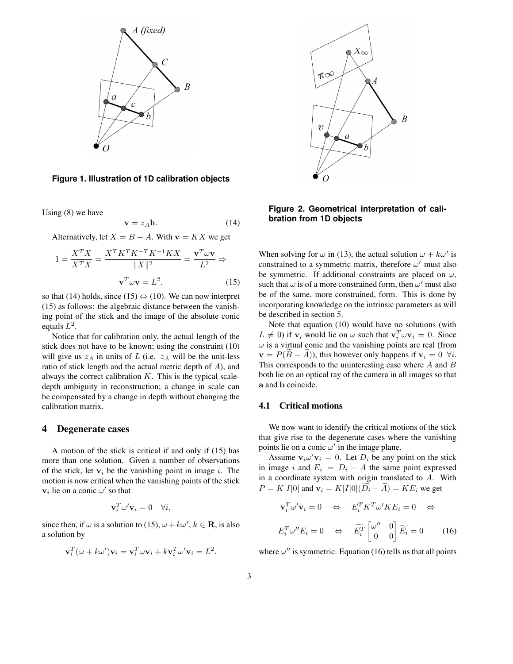

**Figure 1. Illustration of 1D calibration objects**

Using (8) we have

$$
\mathbf{v} = z_A \mathbf{h}.\tag{14}
$$

Alternatively, let  $X = B - A$ . With  $\mathbf{v} = K X$  we get

$$
1 = \frac{X^T X}{X^T X} = \frac{X^T K^T K^{-T} K^{-1} K X}{\|X\|^2} = \frac{\mathbf{v}^T \omega \mathbf{v}}{L^2} \Rightarrow
$$

$$
\mathbf{v}^T \omega \mathbf{v} = L^2,
$$
(15)

so that (14) holds, since (15)  $\Leftrightarrow$  (10). We can now interpret (15) as follows: the algebraic distance between the vanishing point of the stick and the image of the absolute conic equals  $L^2$ .

Notice that for calibration only, the actual length of the stick does not have to be known; using the constraint (10) will give us  $z_A$  in units of L (i.e.  $z_A$  will be the unit-less ratio of stick length and the actual metric depth of A), and always the correct calibration  $K$ . This is the typical scaledepth ambiguity in reconstruction; a change in scale can be compensated by a change in depth without changing the calibration matrix.

## **4 Degenerate cases**

A motion of the stick is critical if and only if (15) has more than one solution. Given a number of observations of the stick, let  $v_i$  be the vanishing point in image i. The motion is now critical when the vanishing points of the stick  $v_i$  lie on a conic  $\omega'$  so that

$$
\mathbf{v}_i^T \boldsymbol{\omega}' \mathbf{v}_i = 0 \quad \forall i,
$$

since then, if  $\omega$  is a solution to (15),  $\omega + k\omega'$ ,  $k \in \mathbf{R}$ , is also a solution by

$$
\mathbf{v}_i^T(\omega + k\omega')\mathbf{v}_i = \mathbf{v}_i^T\omega\mathbf{v}_i + k\mathbf{v}_i^T\omega'\mathbf{v}_i = L^2.
$$



**Figure 2. Geometrical interpretation of calibration from 1D objects**

When solving for  $\omega$  in (13), the actual solution  $\omega + k\omega'$  is constrained to a symmetric matrix, therefore  $\omega'$  must also be symmetric. If additional constraints are placed on  $\omega$ , such that  $\omega$  is of a more constrained form, then  $\omega'$  must also be of the same, more constrained, form. This is done by incorporating knowledge on the intrinsic parameters as will be described in section 5.

Note that equation (10) would have no solutions (with  $L \neq 0$ ) if  $\mathbf{v}_i$  would lie on  $\omega$  such that  $\mathbf{v}_i^T \omega \mathbf{v}_i = 0$ . Since  $\omega$  is a virtual conic and the vanishing points are real (from  $\mathbf{v} = P(B - A)$ , this however only happens if  $\mathbf{v}_i = 0 \ \forall i$ . This corresponds to the uninteresting case where A and B both lie on an optical ray of the camera in all images so that a and b coincide.

## **4.1 Critical motions**

We now want to identify the critical motions of the stick that give rise to the degenerate cases where the vanishing points lie on a conic  $\omega'$  in the image plane.

Assume  $\mathbf{v}_i \omega' \mathbf{v}_i = 0$ . Let  $D_i$  be any point on the stick in image i and  $E_i = D_i - A$  the same point expressed in a coordinate system with origin translated to A. With  $P = K[I[0]$  and  $\mathbf{v}_i = K[I[0](\widetilde{D}_i - \widetilde{A}) = KE_i$  we get

$$
\mathbf{v}_i^T \omega' \mathbf{v}_i = 0 \quad \Leftrightarrow \quad E_i^T K^T \omega' K E_i = 0 \quad \Leftrightarrow
$$
\n
$$
E_i^T \omega'' E_i = 0 \quad \Leftrightarrow \quad \widetilde{E}_i^T \begin{bmatrix} \omega'' & 0 \\ 0 & 0 \end{bmatrix} \widetilde{E}_i = 0 \tag{16}
$$

where  $\omega''$  is symmetric. Equation (16) tells us that all points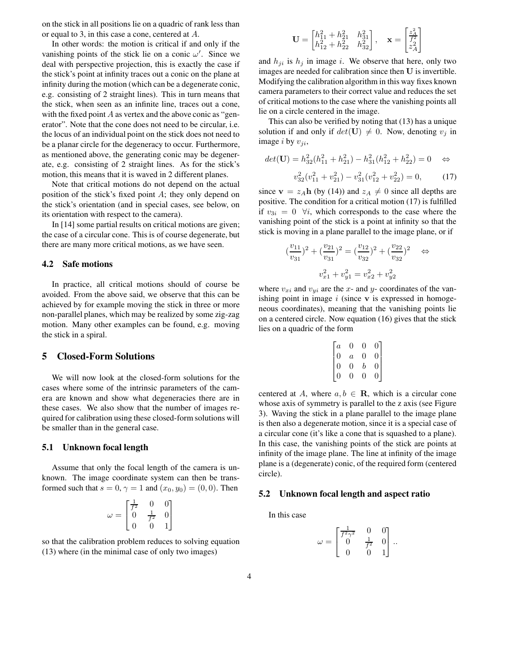on the stick in all positions lie on a quadric of rank less than or equal to 3, in this case a cone, centered at A.

In other words: the motion is critical if and only if the vanishing points of the stick lie on a conic  $\omega'$ . Since we deal with perspective projection, this is exactly the case if the stick's point at infinity traces out a conic on the plane at infinity during the motion (which can be a degenerate conic, e.g. consisting of 2 straight lines). This in turn means that the stick, when seen as an infinite line, traces out a cone, with the fixed point  $A$  as vertex and the above conic as "generator". Note that the cone does not need to be circular, i.e. the locus of an individual point on the stick does not need to be a planar circle for the degeneracy to occur. Furthermore, as mentioned above, the generating conic may be degenerate, e.g. consisting of 2 straight lines. As for the stick's motion, this means that it is waved in 2 different planes.

Note that critical motions do not depend on the actual position of the stick's fixed point A; they only depend on the stick's orientation (and in special cases, see below, on its orientation with respect to the camera).

In [14] some partial results on critical motions are given; the case of a circular cone. This is of course degenerate, but there are many more critical motions, as we have seen.

#### **4.2 Safe motions**

In practice, all critical motions should of course be avoided. From the above said, we observe that this can be achieved by for example moving the stick in three or more non-parallel planes, which may be realized by some zig-zag motion. Many other examples can be found, e.g. moving the stick in a spiral.

## **5 Closed-Form Solutions**

We will now look at the closed-form solutions for the cases where some of the intrinsic parameters of the camera are known and show what degeneracies there are in these cases. We also show that the number of images required for calibration using these closed-form solutions will be smaller than in the general case.

#### **5.1 Unknown focal length**

Assume that only the focal length of the camera is unknown. The image coordinate system can then be transformed such that  $s = 0$ ,  $\gamma = 1$  and  $(x_0, y_0) = (0, 0)$ . Then

$$
\omega = \begin{bmatrix} \frac{1}{f^2} & 0 & 0\\ 0 & \frac{1}{f^2} & 0\\ 0 & 0 & 1 \end{bmatrix}
$$

so that the calibration problem reduces to solving equation (13) where (in the minimal case of only two images)

$$
\mathbf{U} = \begin{bmatrix} h_{11}^2 + h_{21}^2 & h_{31}^2 \\ h_{12}^2 + h_{22}^2 & h_{32}^2 \end{bmatrix}, \quad \mathbf{x} = \begin{bmatrix} \frac{z_A^2}{f_2^2} \\ z_A^2 \end{bmatrix}
$$

and  $h_{ji}$  is  $h_j$  in image i. We observe that here, only two images are needed for calibration since then U is invertible. Modifying the calibration algorithm in this way fixes known camera parameters to their correct value and reduces the set of critical motions to the case where the vanishing points all lie on a circle centered in the image.

This can also be verified by noting that (13) has a unique solution if and only if  $det(\mathbf{U}) \neq 0$ . Now, denoting  $v_i$  in image  $i$  by  $v_{ji}$ ,

$$
det(\mathbf{U}) = h_{32}^2(h_{11}^2 + h_{21}^2) - h_{31}^2(h_{12}^2 + h_{22}^2) = 0 \quad \Leftrightarrow
$$

$$
v_{32}^2(v_{11}^2 + v_{21}^2) - v_{31}^2(v_{12}^2 + v_{22}^2) = 0,
$$
 (17)

since  $\mathbf{v} = z_A \mathbf{h}$  (by (14)) and  $z_A \neq 0$  since all depths are positive. The condition for a critical motion (17) is fulfilled if  $v_{3i} = 0$   $\forall i$ , which corresponds to the case where the vanishing point of the stick is a point at infinity so that the stick is moving in a plane parallel to the image plane, or if

$$
(\frac{v_{11}}{v_{31}})^2 + (\frac{v_{21}}{v_{31}})^2 = (\frac{v_{12}}{v_{32}})^2 + (\frac{v_{22}}{v_{32}})^2 \quad \Leftrightarrow
$$
  

$$
v_{x1}^2 + v_{y1}^2 = v_{x2}^2 + v_{y2}^2
$$

where  $v_{xi}$  and  $v_{yi}$  are the x- and y- coordinates of the vanishing point in image  $i$  (since  $\bf{v}$  is expressed in homogeneous coordinates), meaning that the vanishing points lie on a centered circle. Now equation (16) gives that the stick lies on a quadric of the form

$$
\begin{bmatrix} a & 0 & 0 & 0 \\ 0 & a & 0 & 0 \\ 0 & 0 & b & 0 \\ 0 & 0 & 0 & 0 \end{bmatrix}
$$

centered at A, where  $a, b \in \mathbf{R}$ , which is a circular cone whose axis of symmetry is parallel to the z axis (see Figure 3). Waving the stick in a plane parallel to the image plane is then also a degenerate motion, since it is a special case of a circular cone (it's like a cone that is squashed to a plane). In this case, the vanishing points of the stick are points at infinity of the image plane. The line at infinity of the image plane is a (degenerate) conic, of the required form (centered circle).

## **5.2 Unknown focal length and aspect ratio**

In this case

$$
\omega = \begin{bmatrix} \frac{1}{f^2 \gamma^2} & 0 & 0 \\ 0 & \frac{1}{f^2} & 0 \\ 0 & 0 & 1 \end{bmatrix}.
$$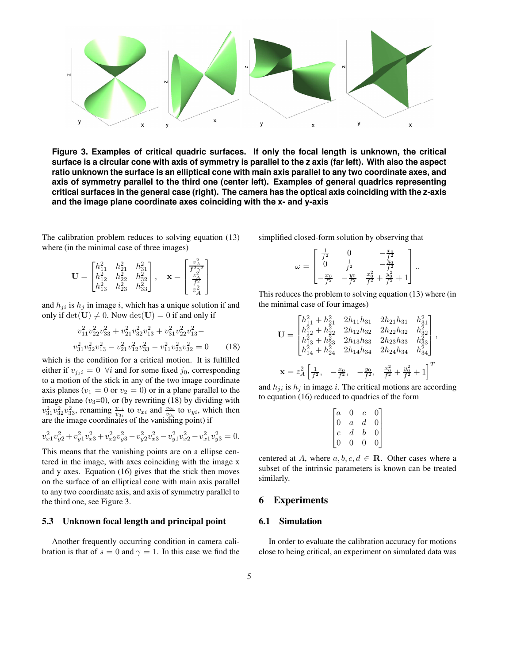

**Figure 3. Examples of critical quadric surfaces. If only the focal length is unknown, the critical** surface is a circular cone with axis of symmetry is parallel to the z axis (far left). With also the aspect ratio unknown the surface is an elliptical cone with main axis parallel to any two coordinate axes, and **axis of symmetry parallel to the third one (center left). Examples of general quadrics representing critical surfaces in the general case (right). The camera has the optical axis coinciding with the z-axis and the image plane coordinate axes coinciding with the x- and y-axis**

The calibration problem reduces to solving equation (13) where (in the minimal case of three images)

$$
\mathbf{U} = \begin{bmatrix} h_{11}^2 & h_{21}^2 & h_{31}^2 \\ h_{12}^2 & h_{22}^2 & h_{32}^2 \\ h_{13}^2 & h_{23}^2 & h_{33}^2 \end{bmatrix}, \quad \mathbf{x} = \begin{bmatrix} \frac{z_A^2}{f^2 \gamma^2} \\ \frac{z_A^2}{f^2} \\ z_A^2 \end{bmatrix}
$$

and  $h_{ji}$  is  $h_j$  in image i, which has a unique solution if and only if  $det(\mathbf{U}) \neq 0$ . Now  $det(\mathbf{U}) = 0$  if and only if

$$
v_{11}^2 v_{22}^2 v_{33}^2 + v_{21}^2 v_{32}^2 v_{13}^2 + v_{31}^2 v_{22}^2 v_{13}^2 -
$$
  

$$
v_{31}^2 v_{22}^2 v_{13}^2 - v_{21}^2 v_{12}^2 v_{33}^2 - v_{11}^2 v_{23}^2 v_{32}^2 = 0
$$
 (18)

which is the condition for a critical motion. It is fulfilled either if  $v_{j0i} = 0 \ \forall i$  and for some fixed  $j_0$ , corresponding to a motion of the stick in any of the two image coordinate axis planes ( $v_1 = 0$  or  $v_2 = 0$ ) or in a plane parallel to the image plane  $(v_3=0)$ , or (by rewriting (18) by dividing with  $v_{31}^2v_{32}^2v_{33}^2$ , renaming  $\frac{v_{1i}}{v_{3i}}$  to  $v_{xi}$  and  $\frac{v_{2i}}{v_{3i}}$  to  $v_{yi}$ , which then are the image coordinates of the vanishing point) if

$$
v_{x1}^2v_{y2}^2 + v_{y1}^2v_{x3}^2 + v_{x2}^2v_{y3}^2 - v_{y2}^2v_{x3}^2 - v_{y1}^2v_{x2}^2 - v_{x1}^2v_{y3}^2 = 0.
$$

This means that the vanishing points are on a ellipse centered in the image, with axes coinciding with the image x and y axes. Equation (16) gives that the stick then moves on the surface of an elliptical cone with main axis parallel to any two coordinate axis, and axis of symmetry parallel to the third one, see Figure 3.

#### **5.3 Unknown focal length and principal point**

Another frequently occurring condition in camera calibration is that of  $s = 0$  and  $\gamma = 1$ . In this case we find the simplified closed-form solution by observing that

$$
\omega = \begin{bmatrix} \frac{1}{f^2} & 0 & -\frac{x_0}{f^2} \\ 0 & \frac{1}{f^2} & -\frac{y_0}{f^2} \\ -\frac{x_0}{f^2} & -\frac{y_0}{f^2} & \frac{x_0^2}{f^2} + \frac{y_0^2}{f^2} + 1 \end{bmatrix}.
$$

This reduces the problem to solving equation (13) where (in the minimal case of four images)

$$
\mathbf{U} = \begin{bmatrix} h_{11}^2 + h_{21}^2 & 2h_{11}h_{31} & 2h_{21}h_{31} & h_{31}^2 \\ h_{12}^2 + h_{22}^2 & 2h_{12}h_{32} & 2h_{22}h_{32} & h_{32}^2 \\ h_{13}^2 + h_{23}^2 & 2h_{13}h_{33} & 2h_{23}h_{33} & h_{33}^2 \\ h_{14}^2 + h_{24}^2 & 2h_{14}h_{34} & 2h_{24}h_{34} & h_{34}^2 \end{bmatrix},
$$
  

$$
\mathbf{x} = z_A^2 \begin{bmatrix} \frac{1}{f^2}, \frac{x_0}{f^2}, \frac{-y_0}{f^2}, \frac{x_0^2}{f^2} + \frac{y_0^2}{f^2} + 1 \end{bmatrix}^T
$$

and  $h_{ji}$  is  $h_j$  in image i. The critical motions are according to equation (16) reduced to quadrics of the form

$$
\begin{bmatrix} a & 0 & c & 0 \\ 0 & a & d & 0 \\ c & d & b & 0 \\ 0 & 0 & 0 & 0 \end{bmatrix}
$$

centered at A, where  $a, b, c, d \in \mathbb{R}$ . Other cases where a subset of the intrinsic parameters is known can be treated similarly.

## **6 Experiments**

#### **6.1 Simulation**

In order to evaluate the calibration accuracy for motions close to being critical, an experiment on simulated data was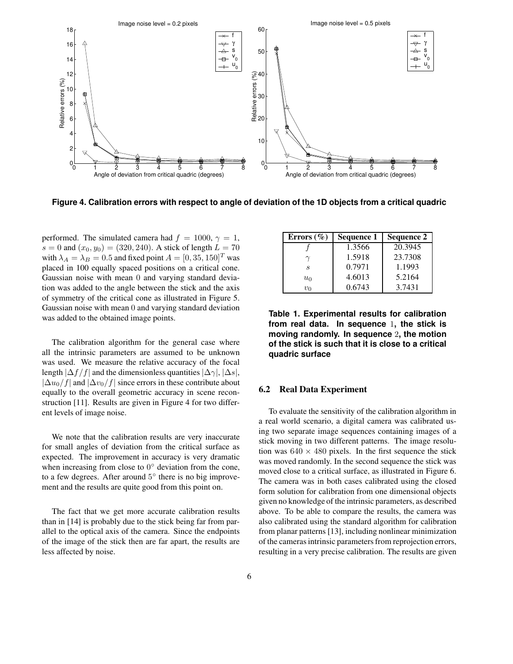

Figure 4. Calibration errors with respect to angle of deviation of the 1D objects from a critical quadric

performed. The simulated camera had  $f = 1000, \gamma = 1$ ,  $s = 0$  and  $(x_0, y_0) = (320, 240)$ . A stick of length  $L = 70$ with  $\lambda_A = \lambda_B = 0.5$  and fixed point  $A = [0, 35, 150]^T$  was placed in 100 equally spaced positions on a critical cone. Gaussian noise with mean 0 and varying standard deviation was added to the angle between the stick and the axis of symmetry of the critical cone as illustrated in Figure 5. Gaussian noise with mean 0 and varying standard deviation was added to the obtained image points.

The calibration algorithm for the general case where all the intrinsic parameters are assumed to be unknown was used. We measure the relative accuracy of the focal length  $|\Delta f/f|$  and the dimensionless quantities  $|\Delta \gamma|, |\Delta s|,$  $|\Delta u_0/f|$  and  $|\Delta v_0/f|$  since errors in these contribute about equally to the overall geometric accuracy in scene reconstruction [11]. Results are given in Figure 4 for two different levels of image noise.

We note that the calibration results are very inaccurate for small angles of deviation from the critical surface as expected. The improvement in accuracy is very dramatic when increasing from close to  $0^{\circ}$  deviation from the cone, to a few degrees. After around 5° there is no big improvement and the results are quite good from this point on.

The fact that we get more accurate calibration results than in [14] is probably due to the stick being far from parallel to the optical axis of the camera. Since the endpoints of the image of the stick then are far apart, the results are less affected by noise.

| Errors $(\% )$ | Sequence 1 | <b>Sequence 2</b> |
|----------------|------------|-------------------|
|                | 1.3566     | 20.3945           |
|                | 1.5918     | 23.7308           |
| S              | 0.7971     | 1.1993            |
| $u_0$          | 4.6013     | 5.2164            |
| $v_{\Omega}$   | 0.6743     | 3.7431            |

**Table 1. Experimental results for calibration from real data. In sequence** 1**, the stick is moving randomly. In sequence** 2**, the motion of the stick is such that it is close to a critical quadric surface**

#### **6.2 Real Data Experiment**

To evaluate the sensitivity of the calibration algorithm in a real world scenario, a digital camera was calibrated using two separate image sequences containing images of a stick moving in two different patterns. The image resolution was  $640 \times 480$  pixels. In the first sequence the stick was moved randomly. In the second sequence the stick was moved close to a critical surface, as illustrated in Figure 6. The camera was in both cases calibrated using the closed form solution for calibration from one dimensional objects given no knowledge of the intrinsic parameters, as described above. To be able to compare the results, the camera was also calibrated using the standard algorithm for calibration from planar patterns [13], including nonlinear minimization of the cameras intrinsic parameters from reprojection errors, resulting in a very precise calibration. The results are given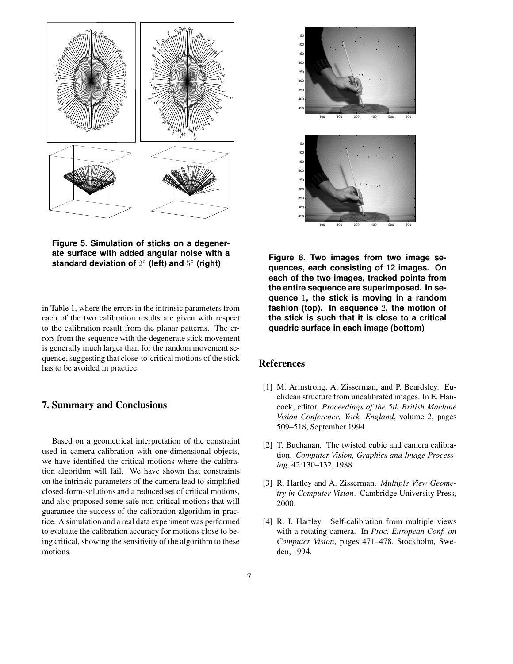

**Figure 5. Simulation of sticks on a degenerate surface with added angular noise with a standard deviation of** 2 ◦ **(left) and** 5 ◦ **(right)**

in Table 1, where the errors in the intrinsic parameters from each of the two calibration results are given with respect to the calibration result from the planar patterns. The errors from the sequence with the degenerate stick movement is generally much larger than for the random movement sequence, suggesting that close-to-critical motions of the stick has to be avoided in practice.

## **7. Summary and Conclusions**

Based on a geometrical interpretation of the constraint used in camera calibration with one-dimensional objects, we have identified the critical motions where the calibration algorithm will fail. We have shown that constraints on the intrinsic parameters of the camera lead to simplified closed-form-solutions and a reduced set of critical motions, and also proposed some safe non-critical motions that will guarantee the success of the calibration algorithm in practice. A simulation and a real data experiment was performed to evaluate the calibration accuracy for motions close to being critical, showing the sensitivity of the algorithm to these motions.



**Figure 6. Two images from two image sequences, each consisting of 12 images. On each of the two images, tracked points from the entire sequence are superimposed. In sequence** 1**, the stick is moving in a random fashion (top). In sequence** 2**, the motion of the stick is such that it is close to a critical quadric surface in each image (bottom)**

### **References**

- [1] M. Armstrong, A. Zisserman, and P. Beardsley. Euclidean structure from uncalibrated images. In E. Hancock, editor, *Proceedings of the 5th British Machine Vision Conference, York, England*, volume 2, pages 509–518, September 1994.
- [2] T. Buchanan. The twisted cubic and camera calibration. *Computer Vision, Graphics and Image Processing*, 42:130–132, 1988.
- [3] R. Hartley and A. Zisserman. *Multiple View Geometry in Computer Vision*. Cambridge University Press, 2000.
- [4] R. I. Hartley. Self-calibration from multiple views with a rotating camera. In *Proc. European Conf. on Computer Vision*, pages 471–478, Stockholm, Sweden, 1994.